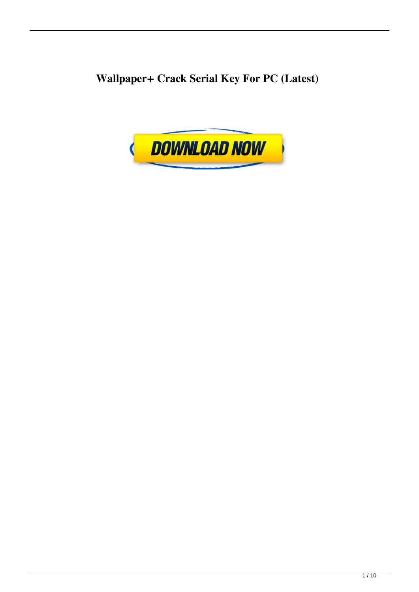**Wallpaper+ Crack Serial Key For PC (Latest)**

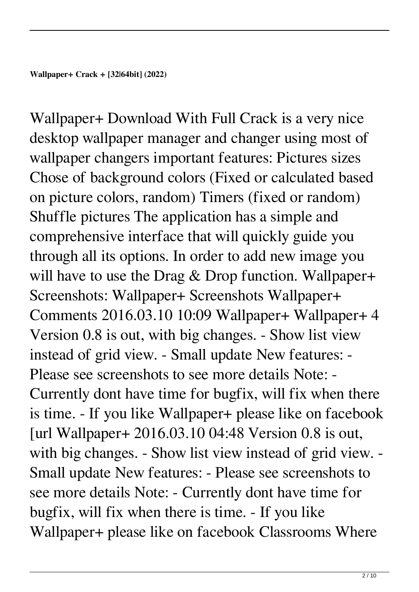Wallpaper+ Download With Full Crack is a very nice desktop wallpaper manager and changer using most of wallpaper changers important features: Pictures sizes Chose of background colors (Fixed or calculated based on picture colors, random) Timers (fixed or random) Shuffle pictures The application has a simple and comprehensive interface that will quickly guide you through all its options. In order to add new image you will have to use the Drag & Drop function. Wallpaper+ Screenshots: Wallpaper+ Screenshots Wallpaper+ Comments 2016.03.10 10:09 Wallpaper+ Wallpaper+ 4 Version 0.8 is out, with big changes. - Show list view instead of grid view. - Small update New features: - Please see screenshots to see more details Note: - Currently dont have time for bugfix, will fix when there is time. - If you like Wallpaper+ please like on facebook [url Wallpaper+ 2016.03.10 04:48 Version 0.8 is out, with big changes. - Show list view instead of grid view. - Small update New features: - Please see screenshots to see more details Note: - Currently dont have time for bugfix, will fix when there is time. - If you like Wallpaper+ please like on facebook Classrooms Where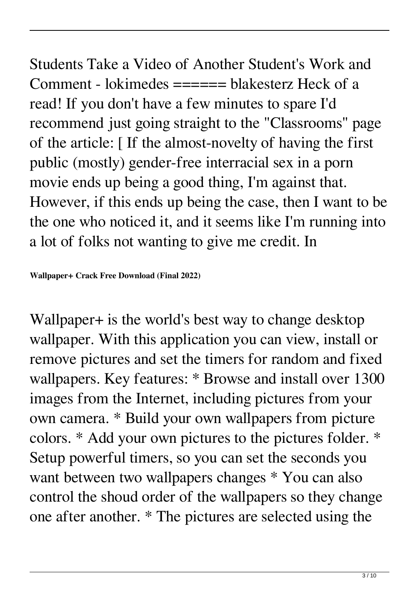Students Take a Video of Another Student's Work and Comment - lokimedes ====== blakesterz Heck of a read! If you don't have a few minutes to spare I'd recommend just going straight to the "Classrooms" page of the article: [ If the almost-novelty of having the first public (mostly) gender-free interracial sex in a porn movie ends up being a good thing, I'm against that. However, if this ends up being the case, then I want to be the one who noticed it, and it seems like I'm running into a lot of folks not wanting to give me credit. In

## **Wallpaper+ Crack Free Download (Final 2022)**

Wallpaper+ is the world's best way to change desktop wallpaper. With this application you can view, install or remove pictures and set the timers for random and fixed wallpapers. Key features: \* Browse and install over 1300 images from the Internet, including pictures from your own camera. \* Build your own wallpapers from picture colors. \* Add your own pictures to the pictures folder. \* Setup powerful timers, so you can set the seconds you want between two wallpapers changes \* You can also control the shoud order of the wallpapers so they change one after another. \* The pictures are selected using the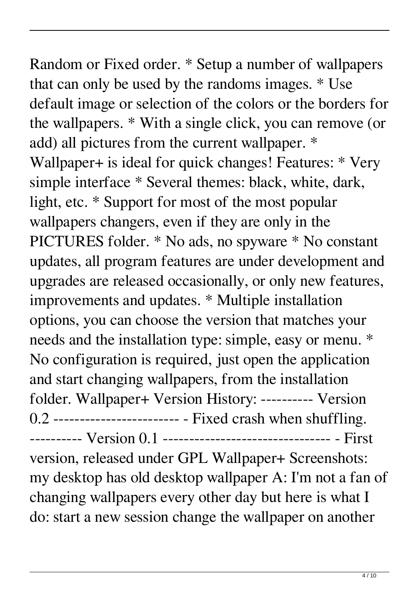Random or Fixed order. \* Setup a number of wallpapers that can only be used by the randoms images. \* Use default image or selection of the colors or the borders for the wallpapers. \* With a single click, you can remove (or add) all pictures from the current wallpaper. \* Wallpaper+ is ideal for quick changes! Features: \* Very simple interface \* Several themes: black, white, dark, light, etc. \* Support for most of the most popular wallpapers changers, even if they are only in the PICTURES folder. \* No ads, no spyware \* No constant updates, all program features are under development and upgrades are released occasionally, or only new features, improvements and updates. \* Multiple installation options, you can choose the version that matches your needs and the installation type: simple, easy or menu. \* No configuration is required, just open the application and start changing wallpapers, from the installation folder. Wallpaper+ Version History: ---------- Version 0.2 ------------------------ - Fixed crash when shuffling. ---------- Version 0.1 -------------------------------- - First version, released under GPL Wallpaper+ Screenshots: my desktop has old desktop wallpaper A: I'm not a fan of changing wallpapers every other day but here is what I do: start a new session change the wallpaper on another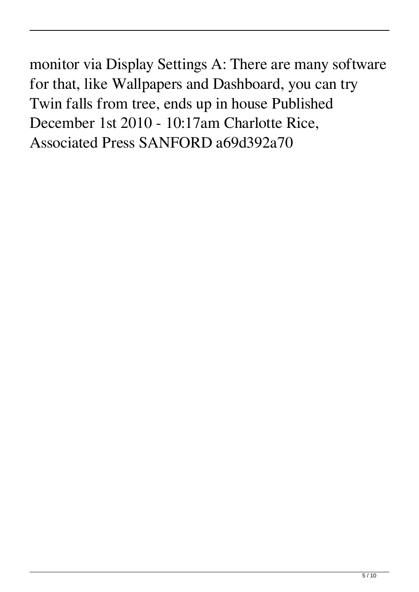monitor via Display Settings A: There are many software for that, like Wallpapers and Dashboard, you can try Twin falls from tree, ends up in house Published December 1st 2010 - 10:17am Charlotte Rice, Associated Press SANFORD a69d392a70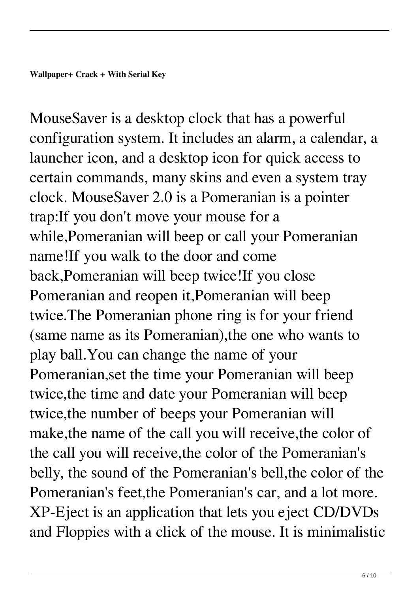MouseSaver is a desktop clock that has a powerful configuration system. It includes an alarm, a calendar, a launcher icon, and a desktop icon for quick access to certain commands, many skins and even a system tray clock. MouseSaver 2.0 is a Pomeranian is a pointer trap:If you don't move your mouse for a while,Pomeranian will beep or call your Pomeranian name!If you walk to the door and come back,Pomeranian will beep twice!If you close Pomeranian and reopen it,Pomeranian will beep twice.The Pomeranian phone ring is for your friend (same name as its Pomeranian),the one who wants to play ball.You can change the name of your Pomeranian,set the time your Pomeranian will beep twice,the time and date your Pomeranian will beep twice,the number of beeps your Pomeranian will make,the name of the call you will receive,the color of the call you will receive,the color of the Pomeranian's belly, the sound of the Pomeranian's bell,the color of the Pomeranian's feet,the Pomeranian's car, and a lot more. XP-Eject is an application that lets you eject CD/DVDs and Floppies with a click of the mouse. It is minimalistic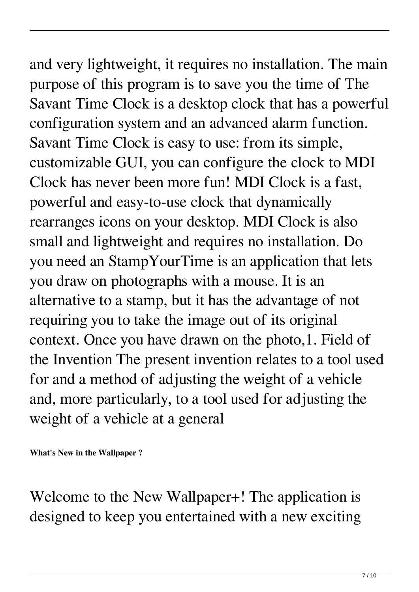and very lightweight, it requires no installation. The main purpose of this program is to save you the time of The Savant Time Clock is a desktop clock that has a powerful configuration system and an advanced alarm function. Savant Time Clock is easy to use: from its simple, customizable GUI, you can configure the clock to MDI Clock has never been more fun! MDI Clock is a fast, powerful and easy-to-use clock that dynamically rearranges icons on your desktop. MDI Clock is also small and lightweight and requires no installation. Do you need an StampYourTime is an application that lets you draw on photographs with a mouse. It is an alternative to a stamp, but it has the advantage of not requiring you to take the image out of its original context. Once you have drawn on the photo,1. Field of the Invention The present invention relates to a tool used for and a method of adjusting the weight of a vehicle and, more particularly, to a tool used for adjusting the weight of a vehicle at a general

**What's New in the Wallpaper ?**

Welcome to the New Wallpaper+! The application is designed to keep you entertained with a new exciting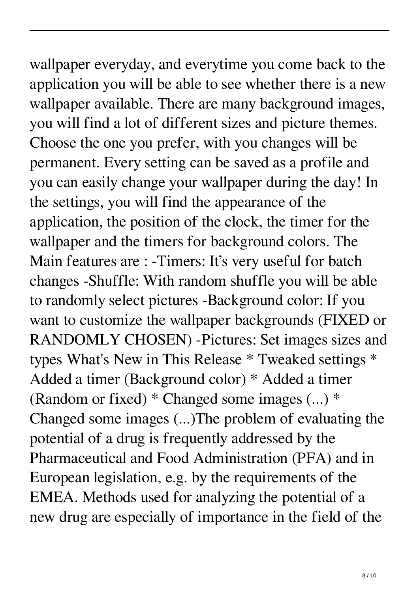wallpaper everyday, and everytime you come back to the application you will be able to see whether there is a new wallpaper available. There are many background images, you will find a lot of different sizes and picture themes. Choose the one you prefer, with you changes will be permanent. Every setting can be saved as a profile and you can easily change your wallpaper during the day! In the settings, you will find the appearance of the application, the position of the clock, the timer for the wallpaper and the timers for background colors. The Main features are : -Timers: It's very useful for batch changes -Shuffle: With random shuffle you will be able to randomly select pictures -Background color: If you want to customize the wallpaper backgrounds (FIXED or RANDOMLY CHOSEN) -Pictures: Set images sizes and types What's New in This Release \* Tweaked settings \* Added a timer (Background color) \* Added a timer (Random or fixed)  $*$  Changed some images  $(...)$  \* Changed some images (...)The problem of evaluating the potential of a drug is frequently addressed by the Pharmaceutical and Food Administration (PFA) and in European legislation, e.g. by the requirements of the EMEA. Methods used for analyzing the potential of a new drug are especially of importance in the field of the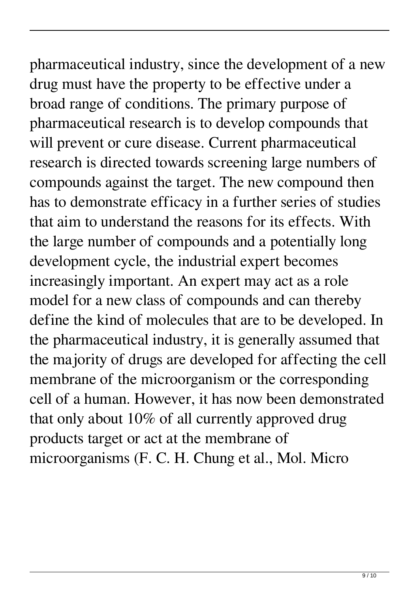pharmaceutical industry, since the development of a new drug must have the property to be effective under a broad range of conditions. The primary purpose of pharmaceutical research is to develop compounds that will prevent or cure disease. Current pharmaceutical research is directed towards screening large numbers of compounds against the target. The new compound then has to demonstrate efficacy in a further series of studies that aim to understand the reasons for its effects. With the large number of compounds and a potentially long development cycle, the industrial expert becomes increasingly important. An expert may act as a role model for a new class of compounds and can thereby define the kind of molecules that are to be developed. In the pharmaceutical industry, it is generally assumed that the majority of drugs are developed for affecting the cell membrane of the microorganism or the corresponding cell of a human. However, it has now been demonstrated that only about 10% of all currently approved drug products target or act at the membrane of microorganisms (F. C. H. Chung et al., Mol. Micro